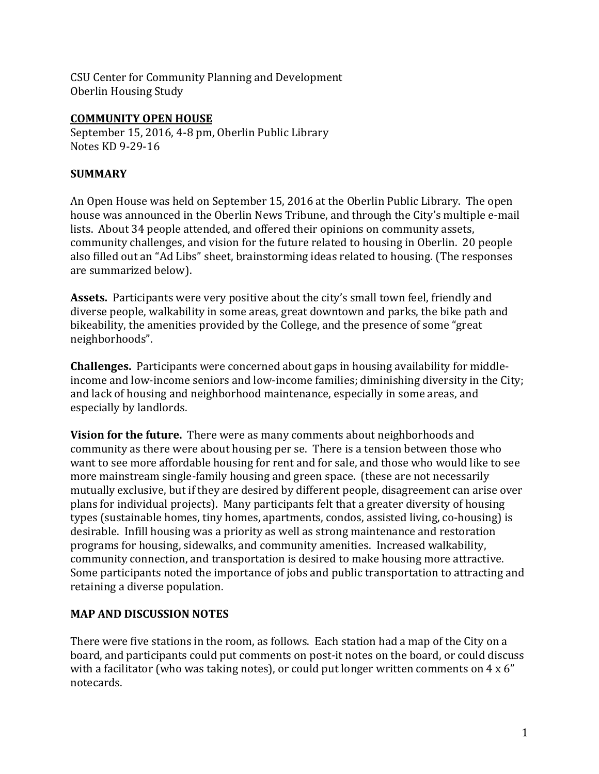CSU Center for Community Planning and Development Oberlin Housing Study

#### **COMMUNITY OPEN HOUSE**

September 15, 2016, 4-8 pm, Oberlin Public Library Notes KD 9-29-16

### **SUMMARY**

An Open House was held on September 15, 2016 at the Oberlin Public Library. The open house was announced in the Oberlin News Tribune, and through the City's multiple e-mail lists. About 34 people attended, and offered their opinions on community assets, community challenges, and vision for the future related to housing in Oberlin. 20 people also filled out an "Ad Libs" sheet, brainstorming ideas related to housing. (The responses are summarized below).

**Assets.** Participants were very positive about the city's small town feel, friendly and diverse people, walkability in some areas, great downtown and parks, the bike path and bikeability, the amenities provided by the College, and the presence of some "great neighborhoods".

**Challenges.** Participants were concerned about gaps in housing availability for middleincome and low-income seniors and low-income families; diminishing diversity in the City; and lack of housing and neighborhood maintenance, especially in some areas, and especially by landlords.

**Vision for the future.** There were as many comments about neighborhoods and community as there were about housing per se. There is a tension between those who want to see more affordable housing for rent and for sale, and those who would like to see more mainstream single-family housing and green space. (these are not necessarily mutually exclusive, but if they are desired by different people, disagreement can arise over plans for individual projects). Many participants felt that a greater diversity of housing types (sustainable homes, tiny homes, apartments, condos, assisted living, co-housing) is desirable. Infill housing was a priority as well as strong maintenance and restoration programs for housing, sidewalks, and community amenities. Increased walkability, community connection, and transportation is desired to make housing more attractive. Some participants noted the importance of jobs and public transportation to attracting and retaining a diverse population.

### **MAP AND DISCUSSION NOTES**

There were five stations in the room, as follows. Each station had a map of the City on a board, and participants could put comments on post-it notes on the board, or could discuss with a facilitator (who was taking notes), or could put longer written comments on 4 x 6" notecards.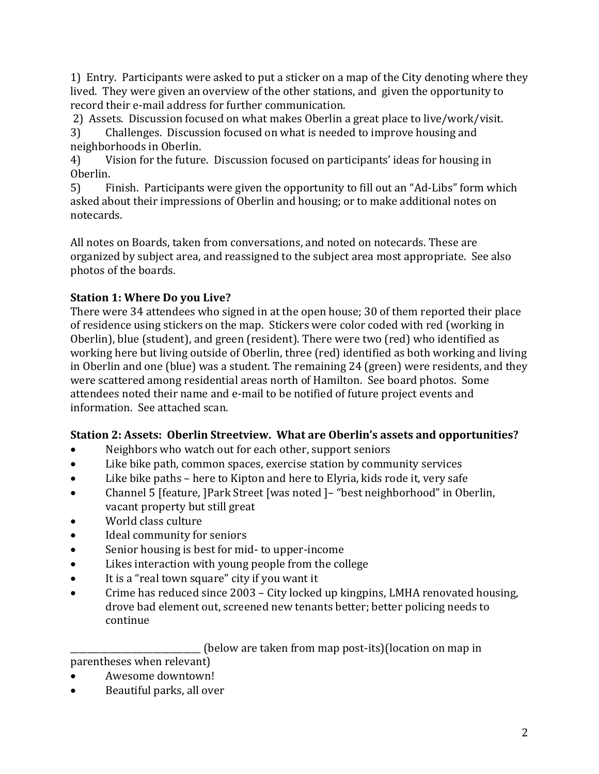1) Entry. Participants were asked to put a sticker on a map of the City denoting where they lived. They were given an overview of the other stations, and given the opportunity to record their e-mail address for further communication.

2) Assets. Discussion focused on what makes Oberlin a great place to live/work/visit.

3) Challenges. Discussion focused on what is needed to improve housing and neighborhoods in Oberlin.

4) Vision for the future. Discussion focused on participants' ideas for housing in Oberlin.

5) Finish. Participants were given the opportunity to fill out an "Ad-Libs" form which asked about their impressions of Oberlin and housing; or to make additional notes on notecards.

All notes on Boards, taken from conversations, and noted on notecards. These are organized by subject area, and reassigned to the subject area most appropriate. See also photos of the boards.

# **Station 1: Where Do you Live?**

There were 34 attendees who signed in at the open house; 30 of them reported their place of residence using stickers on the map. Stickers were color coded with red (working in Oberlin), blue (student), and green (resident). There were two (red) who identified as working here but living outside of Oberlin, three (red) identified as both working and living in Oberlin and one (blue) was a student. The remaining 24 (green) were residents, and they were scattered among residential areas north of Hamilton. See board photos. Some attendees noted their name and e-mail to be notified of future project events and information. See attached scan.

# **Station 2: Assets: Oberlin Streetview. What are Oberlin's assets and opportunities?**

- Neighbors who watch out for each other, support seniors
- Like bike path, common spaces, exercise station by community services
- Like bike paths here to Kipton and here to Elyria, kids rode it, very safe
- Channel 5 [feature, ]Park Street [was noted ]– "best neighborhood" in Oberlin, vacant property but still great
- World class culture
- Ideal community for seniors
- Senior housing is best for mid- to upper-income
- Likes interaction with young people from the college
- It is a "real town square" city if you want it
- Crime has reduced since 2003 City locked up kingpins, LMHA renovated housing, drove bad element out, screened new tenants better; better policing needs to continue

\_\_\_\_\_\_\_\_\_\_\_\_\_\_\_\_\_\_\_\_\_\_\_\_\_\_\_\_\_\_ (below are taken from map post-its)(location on map in

parentheses when relevant)

- Awesome downtown!
- Beautiful parks, all over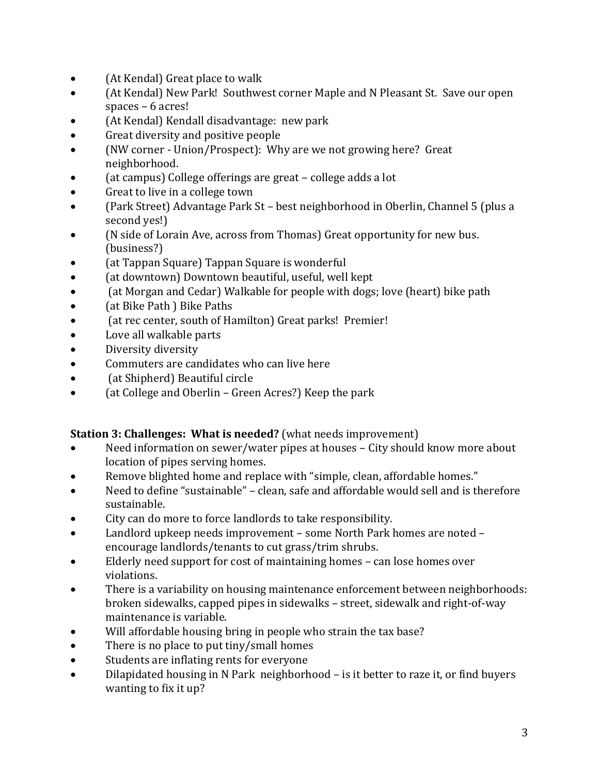- (At Kendal) Great place to walk
- (At Kendal) New Park! Southwest corner Maple and N Pleasant St. Save our open spaces – 6 acres!
- (At Kendal) Kendall disadvantage: new park
- Great diversity and positive people
- (NW corner Union/Prospect): Why are we not growing here? Great neighborhood.
- (at campus) College offerings are great college adds a lot
- Great to live in a college town
- (Park Street) Advantage Park St best neighborhood in Oberlin, Channel 5 (plus a second yes!)
- (N side of Lorain Ave, across from Thomas) Great opportunity for new bus. (business?)
- (at Tappan Square) Tappan Square is wonderful
- (at downtown) Downtown beautiful, useful, well kept
- (at Morgan and Cedar) Walkable for people with dogs; love (heart) bike path
- (at Bike Path ) Bike Paths
- (at rec center, south of Hamilton) Great parks! Premier!
- Love all walkable parts
- Diversity diversity
- Commuters are candidates who can live here
- (at Shipherd) Beautiful circle
- Cat College and Oberlin Green Acres?) Keep the park

# **Station 3: Challenges: What is needed?** (what needs improvement)

- Need information on sewer/water pipes at houses City should know more about location of pipes serving homes.
- Remove blighted home and replace with "simple, clean, affordable homes."
- Need to define "sustainable" clean, safe and affordable would sell and is therefore sustainable.
- City can do more to force landlords to take responsibility.
- Landlord upkeep needs improvement some North Park homes are noted encourage landlords/tenants to cut grass/trim shrubs.
- Elderly need support for cost of maintaining homes can lose homes over violations.
- There is a variability on housing maintenance enforcement between neighborhoods: broken sidewalks, capped pipes in sidewalks – street, sidewalk and right-of-way maintenance is variable.
- Will affordable housing bring in people who strain the tax base?
- There is no place to put tiny/small homes
- Students are inflating rents for everyone
- Dilapidated housing in N Park neighborhood is it better to raze it, or find buyers wanting to fix it up?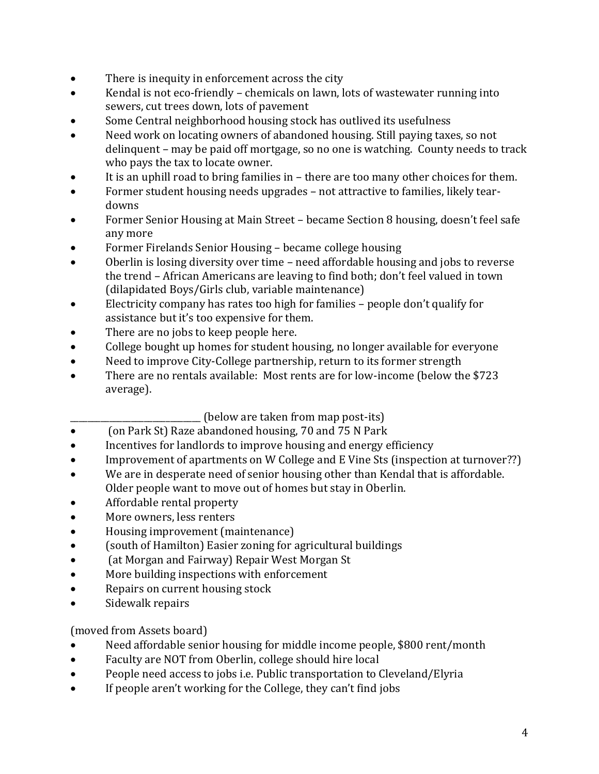- There is inequity in enforcement across the city
- Kendal is not eco-friendly chemicals on lawn, lots of wastewater running into sewers, cut trees down, lots of pavement
- Some Central neighborhood housing stock has outlived its usefulness
- Need work on locating owners of abandoned housing. Still paying taxes, so not delinquent – may be paid off mortgage, so no one is watching. County needs to track who pays the tax to locate owner.
- It is an uphill road to bring families in there are too many other choices for them.
- Former student housing needs upgrades not attractive to families, likely teardowns
- Former Senior Housing at Main Street became Section 8 housing, doesn't feel safe any more
- Former Firelands Senior Housing became college housing
- Oberlin is losing diversity over time need affordable housing and jobs to reverse the trend – African Americans are leaving to find both; don't feel valued in town (dilapidated Boys/Girls club, variable maintenance)
- Electricity company has rates too high for families people don't qualify for assistance but it's too expensive for them.
- There are no jobs to keep people here.
- College bought up homes for student housing, no longer available for everyone
- Need to improve City-College partnership, return to its former strength
- There are no rentals available: Most rents are for low-income (below the \$723 average).

(below are taken from map post-its)

- Con Park St) Raze abandoned housing, 70 and 75 N Park
- Incentives for landlords to improve housing and energy efficiency
- Improvement of apartments on W College and E Vine Sts (inspection at turnover??)
- We are in desperate need of senior housing other than Kendal that is affordable. Older people want to move out of homes but stay in Oberlin.
- Affordable rental property
- More owners, less renters
- Housing improvement (maintenance)
- (south of Hamilton) Easier zoning for agricultural buildings
- Cat Morgan and Fairway) Repair West Morgan St
- More building inspections with enforcement
- Repairs on current housing stock
- Sidewalk repairs

(moved from Assets board)

- Need affordable senior housing for middle income people, \$800 rent/month
- Faculty are NOT from Oberlin, college should hire local
- People need access to jobs i.e. Public transportation to Cleveland/Elyria
- If people aren't working for the College, they can't find jobs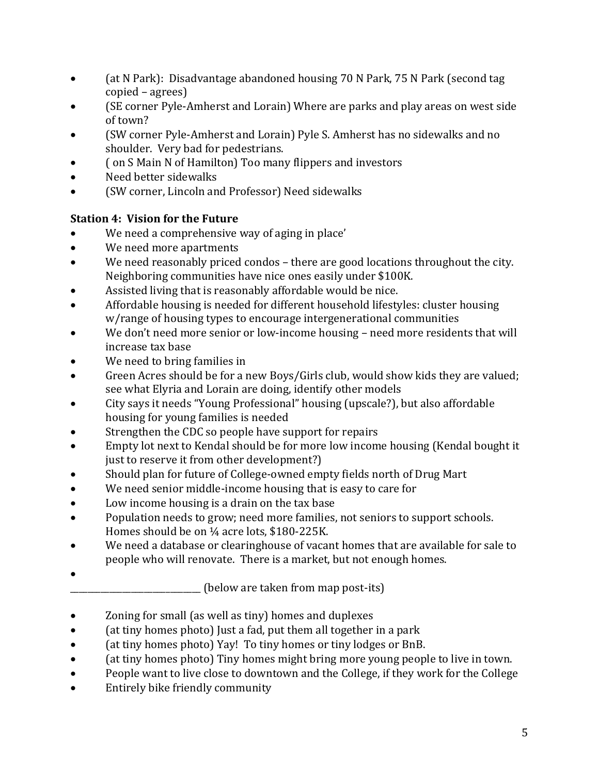- (at N Park): Disadvantage abandoned housing 70 N Park, 75 N Park (second tag copied – agrees)
- (SE corner Pyle-Amherst and Lorain) Where are parks and play areas on west side of town?
- (SW corner Pyle-Amherst and Lorain) Pyle S. Amherst has no sidewalks and no shoulder. Very bad for pedestrians.
- Con S Main N of Hamilton) Too many flippers and investors
- Need better sidewalks
- (SW corner, Lincoln and Professor) Need sidewalks

# **Station 4: Vision for the Future**

- We need a comprehensive way of aging in place'
- We need more apartments
- We need reasonably priced condos there are good locations throughout the city. Neighboring communities have nice ones easily under \$100K.
- Assisted living that is reasonably affordable would be nice.
- Affordable housing is needed for different household lifestyles: cluster housing w/range of housing types to encourage intergenerational communities
- We don't need more senior or low-income housing need more residents that will increase tax base
- We need to bring families in
- Green Acres should be for a new Boys/Girls club, would show kids they are valued; see what Elyria and Lorain are doing, identify other models
- City says it needs "Young Professional" housing (upscale?), but also affordable housing for young families is needed
- Strengthen the CDC so people have support for repairs
- Empty lot next to Kendal should be for more low income housing (Kendal bought it just to reserve it from other development?)
- Should plan for future of College-owned empty fields north of Drug Mart
- We need senior middle-income housing that is easy to care for
- Low income housing is a drain on the tax base
- Population needs to grow; need more families, not seniors to support schools. Homes should be on 1/4 acre lots, \$180-225K.
- We need a database or clearinghouse of vacant homes that are available for sale to people who will renovate. There is a market, but not enough homes.
- $\bullet$

(below are taken from map post-its)

- Zoning for small (as well as tiny) homes and duplexes
- (at tiny homes photo) Just a fad, put them all together in a park
- (at tiny homes photo) Yay! To tiny homes or tiny lodges or BnB.
- (at tiny homes photo) Tiny homes might bring more young people to live in town.
- People want to live close to downtown and the College, if they work for the College
- Entirely bike friendly community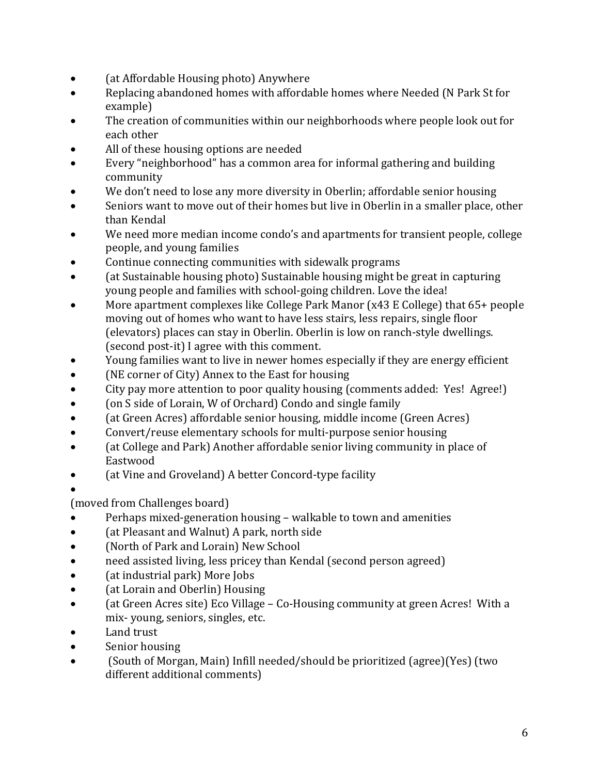- (at Affordable Housing photo) Anywhere
- Replacing abandoned homes with affordable homes where Needed (N Park St for example)
- The creation of communities within our neighborhoods where people look out for each other
- All of these housing options are needed
- Every "neighborhood" has a common area for informal gathering and building community
- We don't need to lose any more diversity in Oberlin; affordable senior housing
- Seniors want to move out of their homes but live in Oberlin in a smaller place, other than Kendal
- We need more median income condo's and apartments for transient people, college people, and young families
- Continue connecting communities with sidewalk programs
- (at Sustainable housing photo) Sustainable housing might be great in capturing young people and families with school-going children. Love the idea!
- More apartment complexes like College Park Manor (x43 E College) that 65+ people moving out of homes who want to have less stairs, less repairs, single floor (elevators) places can stay in Oberlin. Oberlin is low on ranch-style dwellings. (second post-it) I agree with this comment.
- Young families want to live in newer homes especially if they are energy efficient
- (NE corner of City) Annex to the East for housing
- City pay more attention to poor quality housing (comments added: Yes! Agree!)
- Con S side of Lorain, W of Orchard) Condo and single family
- (at Green Acres) affordable senior housing, middle income (Green Acres)
- Convert/reuse elementary schools for multi-purpose senior housing
- (at College and Park) Another affordable senior living community in place of Eastwood
- Cat Vine and Groveland) A better Concord-type facility
- $\bullet$

(moved from Challenges board)

- Perhaps mixed-generation housing walkable to town and amenities
- (at Pleasant and Walnut) A park, north side
- (North of Park and Lorain) New School
- need assisted living, less pricey than Kendal (second person agreed)
- (at industrial park) More Jobs
- (at Lorain and Oberlin) Housing
- (at Green Acres site) Eco Village Co-Housing community at green Acres! With a mix- young, seniors, singles, etc.
- Land trust
- Senior housing
- (South of Morgan, Main) Infill needed/should be prioritized (agree)(Yes) (two different additional comments)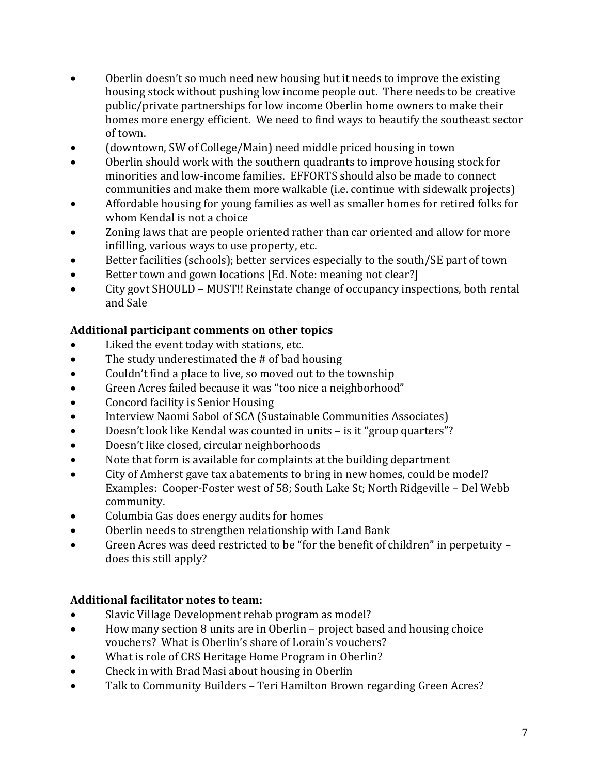- Oberlin doesn't so much need new housing but it needs to improve the existing housing stock without pushing low income people out. There needs to be creative public/private partnerships for low income Oberlin home owners to make their homes more energy efficient. We need to find ways to beautify the southeast sector of town.
- (downtown, SW of College/Main) need middle priced housing in town
- Oberlin should work with the southern quadrants to improve housing stock for minorities and low-income families. EFFORTS should also be made to connect communities and make them more walkable (i.e. continue with sidewalk projects)
- Affordable housing for young families as well as smaller homes for retired folks for whom Kendal is not a choice
- Zoning laws that are people oriented rather than car oriented and allow for more infilling, various ways to use property, etc.
- Better facilities (schools); better services especially to the south/SE part of town
- Better town and gown locations [Ed. Note: meaning not clear?]
- City govt SHOULD MUST!! Reinstate change of occupancy inspections, both rental and Sale

# **Additional participant comments on other topics**

- Liked the event today with stations, etc.
- The study underestimated the # of bad housing
- Couldn't find a place to live, so moved out to the township
- Green Acres failed because it was "too nice a neighborhood"
- Concord facility is Senior Housing
- Interview Naomi Sabol of SCA (Sustainable Communities Associates)
- Doesn't look like Kendal was counted in units is it "group quarters"?
- Doesn't like closed, circular neighborhoods
- Note that form is available for complaints at the building department
- City of Amherst gave tax abatements to bring in new homes, could be model? Examples: Cooper-Foster west of 58; South Lake St; North Ridgeville – Del Webb community.
- Columbia Gas does energy audits for homes
- Oberlin needs to strengthen relationship with Land Bank
- Green Acres was deed restricted to be "for the benefit of children" in perpetuity does this still apply?

# **Additional facilitator notes to team:**

- Slavic Village Development rehab program as model?
- How many section 8 units are in Oberlin project based and housing choice vouchers? What is Oberlin's share of Lorain's vouchers?
- What is role of CRS Heritage Home Program in Oberlin?
- Check in with Brad Masi about housing in Oberlin
- Talk to Community Builders Teri Hamilton Brown regarding Green Acres?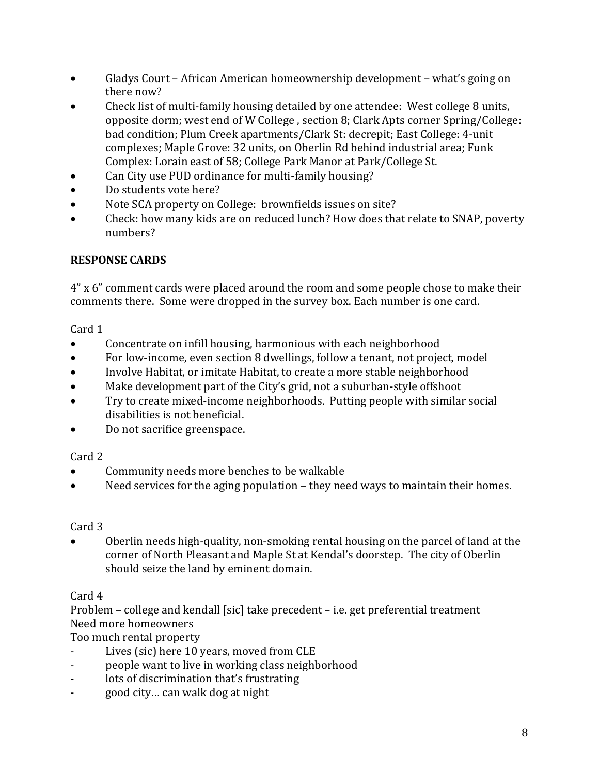- Gladys Court African American homeownership development what's going on there now?
- Check list of multi-family housing detailed by one attendee: West college 8 units, opposite dorm; west end of W College , section 8; Clark Apts corner Spring/College: bad condition; Plum Creek apartments/Clark St: decrepit; East College: 4-unit complexes; Maple Grove: 32 units, on Oberlin Rd behind industrial area; Funk Complex: Lorain east of 58; College Park Manor at Park/College St.
- Can City use PUD ordinance for multi-family housing?
- Do students vote here?
- Note SCA property on College: brownfields issues on site?
- Check: how many kids are on reduced lunch? How does that relate to SNAP, poverty numbers?

### **RESPONSE CARDS**

4" x 6" comment cards were placed around the room and some people chose to make their comments there. Some were dropped in the survey box. Each number is one card.

#### Card 1

- Concentrate on infill housing, harmonious with each neighborhood
- For low-income, even section 8 dwellings, follow a tenant, not project, model
- Involve Habitat, or imitate Habitat, to create a more stable neighborhood
- Make development part of the City's grid, not a suburban-style offshoot
- Try to create mixed-income neighborhoods. Putting people with similar social disabilities is not beneficial.
- Do not sacrifice greenspace.

### Card 2

- Community needs more benches to be walkable
- Need services for the aging population they need ways to maintain their homes.

### Card 3

 Oberlin needs high-quality, non-smoking rental housing on the parcel of land at the corner of North Pleasant and Maple St at Kendal's doorstep. The city of Oberlin should seize the land by eminent domain.

### Card 4

Problem – college and kendall [sic] take precedent – i.e. get preferential treatment Need more homeowners

Too much rental property

- Lives (sic) here 10 years, moved from CLE
- people want to live in working class neighborhood
- lots of discrimination that's frustrating
- good city… can walk dog at night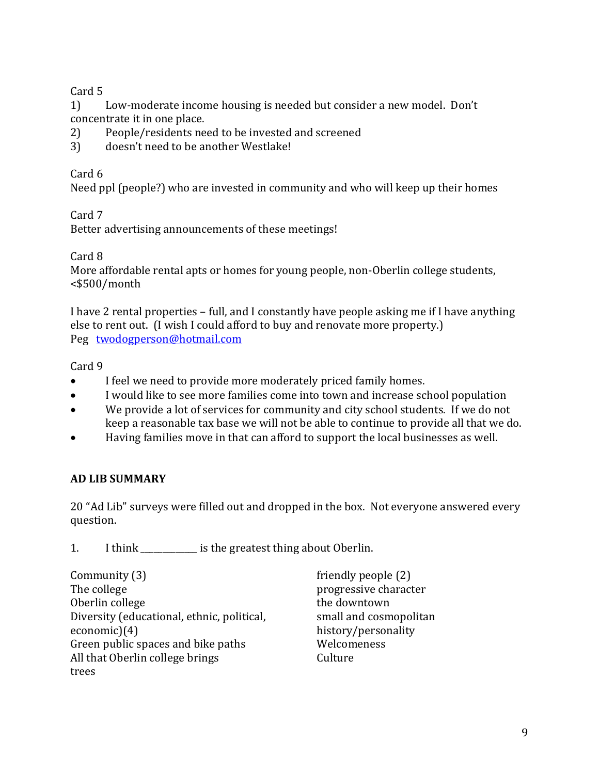### Card 5

1) Low-moderate income housing is needed but consider a new model. Don't concentrate it in one place.

- 2) People/residents need to be invested and screened
- 3) doesn't need to be another Westlake!

# Card 6

Need ppl (people?) who are invested in community and who will keep up their homes

Card 7

Better advertising announcements of these meetings!

Card 8

More affordable rental apts or homes for young people, non-Oberlin college students, <\$500/month

I have 2 rental properties – full, and I constantly have people asking me if I have anything else to rent out. (I wish I could afford to buy and renovate more property.) Peg [twodogperson@hotmail.com](mailto:twodogperson@hotmail.com)

# Card 9

- I feel we need to provide more moderately priced family homes.
- I would like to see more families come into town and increase school population
- We provide a lot of services for community and city school students. If we do not keep a reasonable tax base we will not be able to continue to provide all that we do.
- Having families move in that can afford to support the local businesses as well.

# **AD LIB SUMMARY**

20 "Ad Lib" surveys were filled out and dropped in the box. Not everyone answered every question.

1. I think \_\_\_\_\_\_\_\_\_\_\_\_\_ is the greatest thing about Oberlin.

| Community (3)                              |  |
|--------------------------------------------|--|
| The college                                |  |
| Oberlin college                            |  |
| Diversity (educational, ethnic, political, |  |
| $e$ conomic $(4)$                          |  |
| Green public spaces and bike paths         |  |
| All that Oberlin college brings            |  |
| trees                                      |  |

friendly people (2) progressive character the downtown small and cosmopolitan history/personality Welcomeness Culture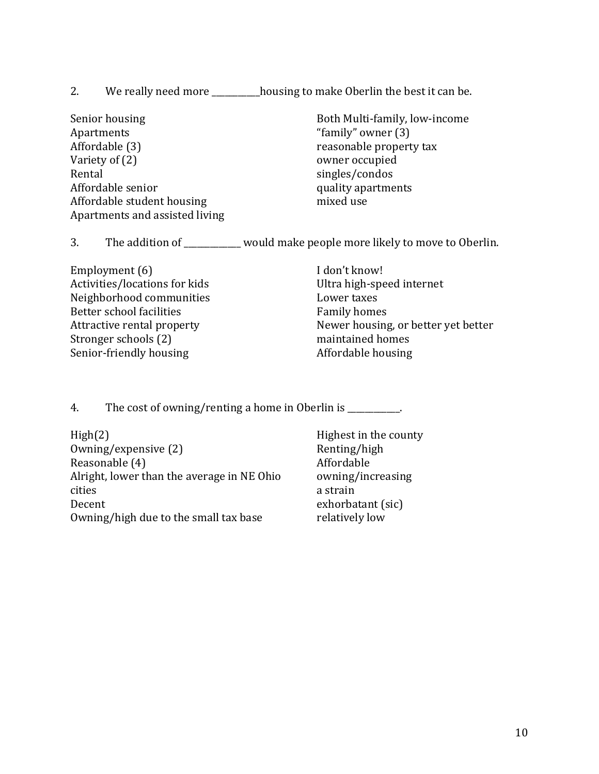- 2. We really need more \_\_\_\_\_\_\_\_\_housing to make Oberlin the best it can be.
- Senior housing Apartments Affordable (3) Variety of (2) Rental Affordable senior Affordable student housing Apartments and assisted living

Both Multi-family, low-income "family" owner (3) reasonable property tax owner occupied singles/condos quality apartments mixed use

3. The addition of would make people more likely to move to Oberlin.

Employment (6) Activities/locations for kids Neighborhood communities Better school facilities Attractive rental property Stronger schools (2) Senior-friendly housing

I don't know! Ultra high-speed internet Lower taxes Family homes Newer housing, or better yet better maintained homes Affordable housing

4. The cost of owning/renting a home in Oberlin is \_\_\_\_\_\_\_\_\_.

High(2) Owning/expensive (2) Reasonable (4) Alright, lower than the average in NE Ohio cities Decent Owning/high due to the small tax base

Highest in the county Renting/high Affordable owning/increasing a strain exhorbatant (sic) relatively low